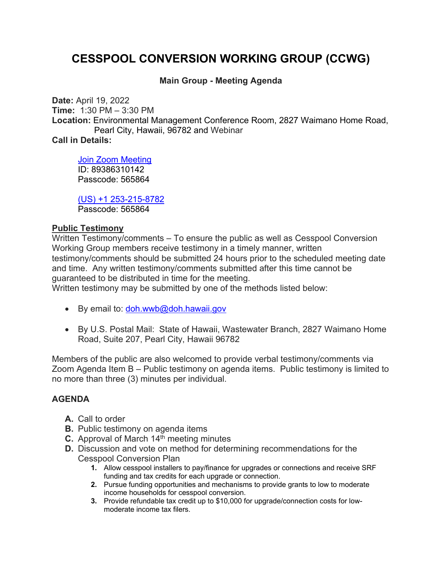## **CESSPOOL CONVERSION WORKING GROUP (CCWG)**

## **Main Group - Meeting Agenda**

**Date:** April 19, 2022 **Time:** 1:30 PM – 3:30 PM **Location:** Environmental Management Conference Room, 2827 Waimano Home Road, Pearl City, Hawaii, 96782 and Webinar **Call in Details:**

Join Zoom Meeting ID: 89386310142 Passcode: 565864

(US) +1 253-215-8782 Passcode: 565864

## **Public Testimony**

Written Testimony/comments – To ensure the public as well as Cesspool Conversion Working Group members receive testimony in a timely manner, written testimony/comments should be submitted 24 hours prior to the scheduled meeting date and time. Any written testimony/comments submitted after this time cannot be guaranteed to be distributed in time for the meeting. Written testimony may be submitted by one of the methods listed below:

- By email to:  $d$ oh.wwb@doh.hawaii.gov
- By U.S. Postal Mail: State of Hawaii, Wastewater Branch, 2827 Waimano Home Road, Suite 207, Pearl City, Hawaii 96782

Members of the public are also welcomed to provide verbal testimony/comments via Zoom Agenda Item B – Public testimony on agenda items. Public testimony is limited to no more than three (3) minutes per individual.

## **AGENDA**

- **A.** Call to order
- **B.** Public testimony on agenda items
- **C.** Approval of March 14<sup>th</sup> meeting minutes
- **D.** Discussion and vote on method for determining recommendations for the Cesspool Conversion Plan
	- **1.** Allow cesspool installers to pay/finance for upgrades or connections and receive SRF funding and tax credits for each upgrade or connection.
	- **2.** Pursue funding opportunities and mechanisms to provide grants to low to moderate income households for cesspool conversion.
	- **3.** Provide refundable tax credit up to \$10,000 for upgrade/connection costs for lowmoderate income tax filers.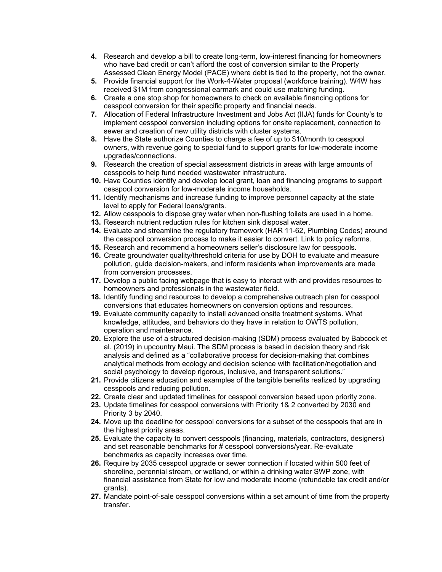- **4.** Research and develop a bill to create long-term, low-interest financing for homeowners who have bad credit or can't afford the cost of conversion similar to the Property Assessed Clean Energy Model (PACE) where debt is tied to the property, not the owner.
- **5.** Provide financial support for the Work-4-Water proposal (workforce training). W4W has received \$1M from congressional earmark and could use matching funding.
- **6.** Create a one stop shop for homeowners to check on available financing options for cesspool conversion for their specific property and financial needs.
- **7.** Allocation of Federal Infrastructure Investment and Jobs Act (IIJA) funds for County's to implement cesspool conversion including options for onsite replacement, connection to sewer and creation of new utility districts with cluster systems.
- **8.** Have the State authorize Counties to charge a fee of up to \$10/month to cesspool owners, with revenue going to special fund to support grants for low-moderate income upgrades/connections.
- **9.** Research the creation of special assessment districts in areas with large amounts of cesspools to help fund needed wastewater infrastructure.
- **10.** Have Counties identify and develop local grant, loan and financing programs to support cesspool conversion for low-moderate income households.
- **11.** Identify mechanisms and increase funding to improve personnel capacity at the state level to apply for Federal loans/grants.
- **12.** Allow cesspools to dispose gray water when non-flushing toilets are used in a home.
- **13.** Research nutrient reduction rules for kitchen sink disposal water.
- **14.** Evaluate and streamline the regulatory framework (HAR 11-62, Plumbing Codes) around the cesspool conversion process to make it easier to convert. Link to policy reforms.
- **15.** Research and recommend a homeowners seller's disclosure law for cesspools.
- **16.** Create groundwater quality/threshold criteria for use by DOH to evaluate and measure pollution, guide decision-makers, and inform residents when improvements are made from conversion processes.
- **17.** Develop a public facing webpage that is easy to interact with and provides resources to homeowners and professionals in the wastewater field.
- **18.** Identify funding and resources to develop a comprehensive outreach plan for cesspool conversions that educates homeowners on conversion options and resources.
- **19.** Evaluate community capacity to install advanced onsite treatment systems. What knowledge, attitudes, and behaviors do they have in relation to OWTS pollution, operation and maintenance.
- **20.** Explore the use of a structured decision-making (SDM) process evaluated by Babcock et al. (2019) in upcountry Maui. The SDM process is based in decision theory and risk analysis and defined as a "collaborative process for decision-making that combines analytical methods from ecology and decision science with facilitation/negotiation and social psychology to develop rigorous, inclusive, and transparent solutions."
- **21.** Provide citizens education and examples of the tangible benefits realized by upgrading cesspools and reducing pollution.
- **22.** Create clear and updated timelines for cesspool conversion based upon priority zone.
- **23.** Update timelines for cesspool conversions with Priority 1& 2 converted by 2030 and Priority 3 by 2040.
- **24.** Move up the deadline for cesspool conversions for a subset of the cesspools that are in the highest priority areas.
- **25.** Evaluate the capacity to convert cesspools (financing, materials, contractors, designers) and set reasonable benchmarks for # cesspool conversions/year. Re-evaluate benchmarks as capacity increases over time.
- **26.** Require by 2035 cesspool upgrade or sewer connection if located within 500 feet of shoreline, perennial stream, or wetland, or within a drinking water SWP zone, with financial assistance from State for low and moderate income (refundable tax credit and/or grants).
- **27.** Mandate point-of-sale cesspool conversions within a set amount of time from the property transfer.